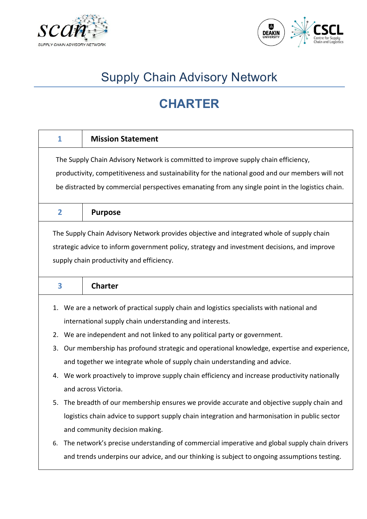



# Supply Chain Advisory Network

## **CHARTER**

| 1                                                                                            | <b>Mission Statement</b>                                                                         |  |  |  |
|----------------------------------------------------------------------------------------------|--------------------------------------------------------------------------------------------------|--|--|--|
|                                                                                              | The Supply Chain Advisory Network is committed to improve supply chain efficiency,               |  |  |  |
|                                                                                              | productivity, competitiveness and sustainability for the national good and our members will not  |  |  |  |
|                                                                                              | be distracted by commercial perspectives emanating from any single point in the logistics chain. |  |  |  |
| $\overline{2}$                                                                               | <b>Purpose</b>                                                                                   |  |  |  |
|                                                                                              | The Supply Chain Advisory Network provides objective and integrated whole of supply chain        |  |  |  |
| strategic advice to inform government policy, strategy and investment decisions, and improve |                                                                                                  |  |  |  |
|                                                                                              | supply chain productivity and efficiency.                                                        |  |  |  |
| 3                                                                                            | <b>Charter</b>                                                                                   |  |  |  |
| 1.                                                                                           | We are a network of practical supply chain and logistics specialists with national and           |  |  |  |
|                                                                                              | international supply chain understanding and interests.                                          |  |  |  |
| 2.                                                                                           | We are independent and not linked to any political party or government.                          |  |  |  |
| 3.                                                                                           | Our membership has profound strategic and operational knowledge, expertise and experience,       |  |  |  |
|                                                                                              | and together we integrate whole of supply chain understanding and advice.                        |  |  |  |
| 4.                                                                                           | We work proactively to improve supply chain efficiency and increase productivity nationally      |  |  |  |
|                                                                                              | and across Victoria.                                                                             |  |  |  |
|                                                                                              | 5. The breadth of our membership ensures we provide accurate and objective supply chain and      |  |  |  |
|                                                                                              | logistics chain advice to support supply chain integration and harmonisation in public sector    |  |  |  |
|                                                                                              | and community decision making.                                                                   |  |  |  |
| 6.                                                                                           | The network's precise understanding of commercial imperative and global supply chain drivers     |  |  |  |
|                                                                                              | and trends underpins our advice, and our thinking is subject to ongoing assumptions testing.     |  |  |  |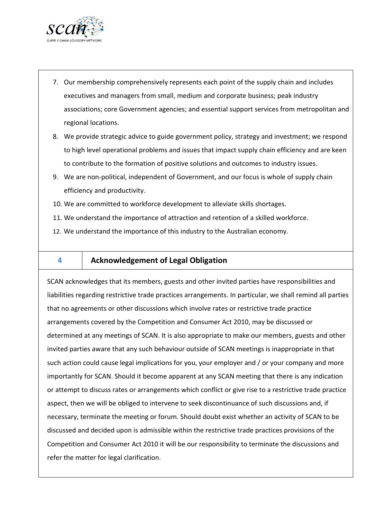

- 7. Our membership comprehensively represents each point of the supply chain and includes executives and managers from small, medium and corporate business; peak industry associations; core Government agencies; and essential support services from metropolitan and regional locations.
- 8. We provide strategic advice to guide government policy, strategy and investment; we respond to high level operational problems and issues that impact supply chain efficiency and are keen to contribute to the formation of positive solutions and outcomes to industry issues.
- 9. We are non-political, independent of Government, and our focus is whole of supply chain efficiency and productivity.
- 10. We are committed to workforce development to alleviate skills shortages.
- 11. We understand the importance of attraction and retention of a skilled workforce.
- 12. We understand the importance of this industry to the Australian economy.
- 

### **4 Acknowledgement of Legal Obligation**

SCAN acknowledges that its members, guests and other invited parties have responsibilities and liabilities regarding restrictive trade practices arrangements. In particular, we shall remind all parties that no agreements or other discussions which involve rates or restrictive trade practice arrangements covered by the Competition and Consumer Act 2010, may be discussed or determined at any meetings of SCAN. It is also appropriate to make our members, guests and other invited parties aware that any such behaviour outside of SCAN meetings is inappropriate in that such action could cause legal implications for you, your employer and / or your company and more importantly for SCAN. Should it become apparent at any SCAN meeting that there is any indication or attempt to discuss rates or arrangements which conflict or give rise to a restrictive trade practice aspect, then we will be obliged to intervene to seek discontinuance of such discussions and, if necessary, terminate the meeting or forum. Should doubt exist whether an activity of SCAN to be discussed and decided upon is admissible within the restrictive trade practices provisions of the Competition and Consumer Act 2010 it will be our responsibility to terminate the discussions and refer the matter for legal clarification.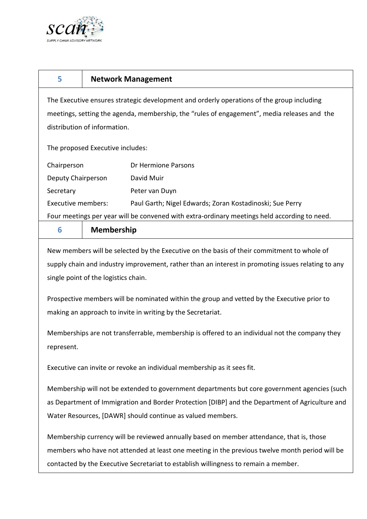

| 5                                                                                                                                                                                                                                                                                                                                                                                                                        | <b>Network Management</b> |                                                          |  |
|--------------------------------------------------------------------------------------------------------------------------------------------------------------------------------------------------------------------------------------------------------------------------------------------------------------------------------------------------------------------------------------------------------------------------|---------------------------|----------------------------------------------------------|--|
| The Executive ensures strategic development and orderly operations of the group including                                                                                                                                                                                                                                                                                                                                |                           |                                                          |  |
| meetings, setting the agenda, membership, the "rules of engagement", media releases and the                                                                                                                                                                                                                                                                                                                              |                           |                                                          |  |
| distribution of information.                                                                                                                                                                                                                                                                                                                                                                                             |                           |                                                          |  |
| The proposed Executive includes:                                                                                                                                                                                                                                                                                                                                                                                         |                           |                                                          |  |
| Chairperson                                                                                                                                                                                                                                                                                                                                                                                                              |                           | Dr Hermione Parsons                                      |  |
| Deputy Chairperson                                                                                                                                                                                                                                                                                                                                                                                                       |                           | David Muir                                               |  |
| Secretary                                                                                                                                                                                                                                                                                                                                                                                                                |                           | Peter van Duyn                                           |  |
| <b>Executive members:</b>                                                                                                                                                                                                                                                                                                                                                                                                |                           | Paul Garth; Nigel Edwards; Zoran Kostadinoski; Sue Perry |  |
| Four meetings per year will be convened with extra-ordinary meetings held according to need.                                                                                                                                                                                                                                                                                                                             |                           |                                                          |  |
| 6                                                                                                                                                                                                                                                                                                                                                                                                                        | <b>Membership</b>         |                                                          |  |
| supply chain and industry improvement, rather than an interest in promoting issues relating to any<br>single point of the logistics chain.<br>Prospective members will be nominated within the group and vetted by the Executive prior to<br>making an approach to invite in writing by the Secretariat.<br>Memberships are not transferrable, membership is offered to an individual not the company they<br>represent. |                           |                                                          |  |
| Executive can invite or revoke an individual membership as it sees fit.                                                                                                                                                                                                                                                                                                                                                  |                           |                                                          |  |
| Membership will not be extended to government departments but core government agencies (such<br>as Department of Immigration and Border Protection [DIBP] and the Department of Agriculture and<br>Water Resources, [DAWR] should continue as valued members.                                                                                                                                                            |                           |                                                          |  |
| Membership currency will be reviewed annually based on member attendance, that is, those                                                                                                                                                                                                                                                                                                                                 |                           |                                                          |  |
| members who have not attended at least one meeting in the previous twelve month period will be<br>contacted by the Executive Secretariat to establish willingness to remain a member.                                                                                                                                                                                                                                    |                           |                                                          |  |